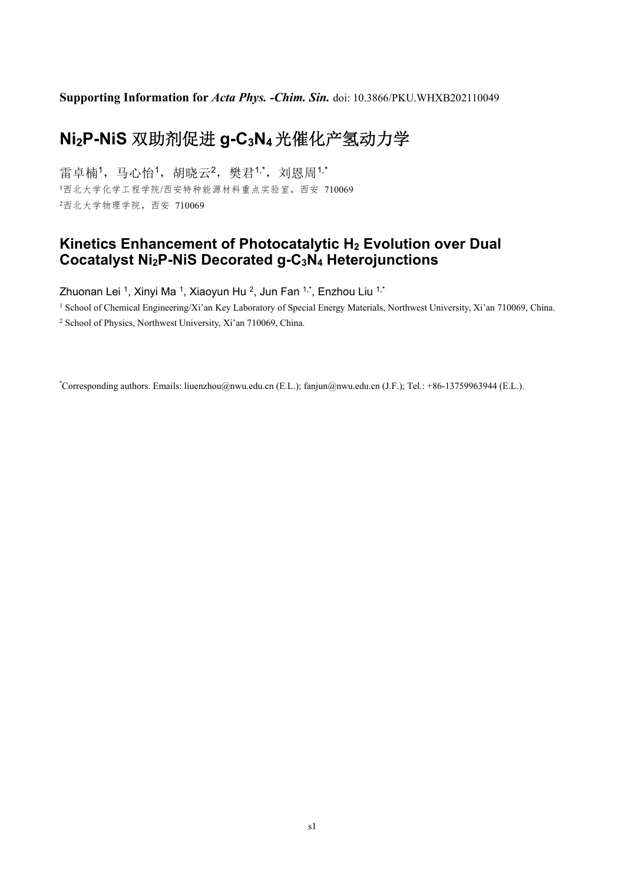**Supporting Information for** *Acta Phys. -Chim. Sin.* doi: 10.3866/PKU.WHXB202110049

# **Ni2P-NiS** 双助剂促进 **g-C3N4**光催化产氢动力学

雷卓楠1,马心怡1,胡晓云2,樊君1,\*,刘恩周1,\* <sup>1</sup>西北大学化学工程学院/西安特种能源材料重点实验室,西安 710069 <sup>2</sup>西北大学物理学院,西安 710069

## **Kinetics Enhancement of Photocatalytic H2 Evolution over Dual Cocatalyst Ni2P-NiS Decorated g-C3N4 Heterojunctions**

Zhuonan Lei <sup>1</sup>, Xinyi Ma <sup>1</sup>, Xiaoyun Hu <sup>2</sup>, Jun Fan  $1^*$ , Enzhou Liu  $1^*$ 

<sup>1</sup> School of Chemical Engineering/Xi'an Key Laboratory of Special Energy Materials, Northwest University, Xi'an 710069, China.

2 School of Physics, Northwest University, Xi'an 710069, China.

\* Corresponding authors. Emails: liuenzhou@nwu.edu.cn (E.L.); fanjun@nwu.edu.cn (J.F.); Tel.: +86-13759963944 (E.L.).